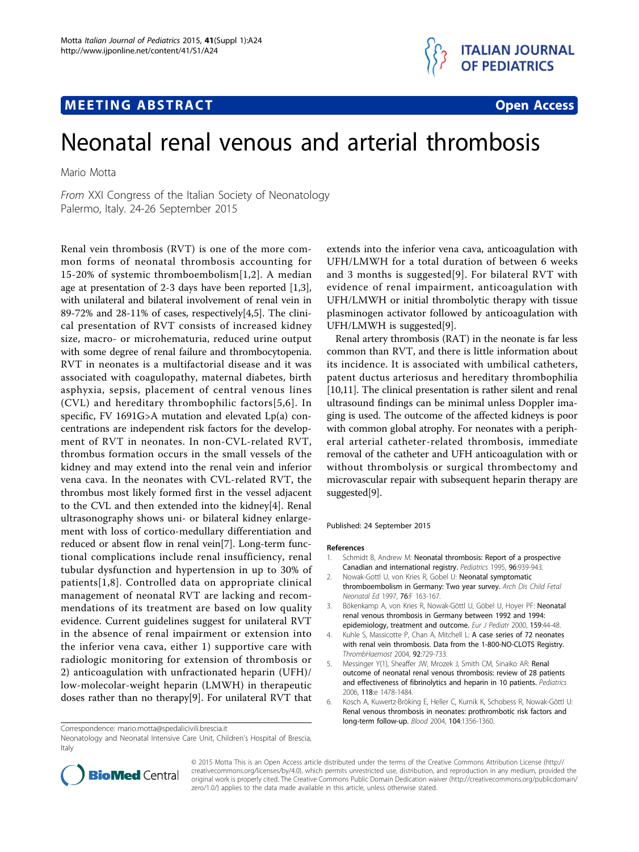# **MEETING ABSTRACT And CONSTRACT CONSTRACT CONSTRACT**



# Neonatal renal venous and arterial thrombosis

Mario Motta

From XXI Congress of the Italian Society of Neonatology Palermo, Italy. 24-26 September 2015

Renal vein thrombosis (RVT) is one of the more common forms of neonatal thrombosis accounting for 15-20% of systemic thromboembolism[1,2]. A median age at presentation of 2-3 days have been reported [1,3], with unilateral and bilateral involvement of renal vein in 89-72% and 28-11% of cases, respectively[4,5]. The clinical presentation of RVT consists of increased kidney size, macro- or microhematuria, reduced urine output with some degree of renal failure and thrombocytopenia. RVT in neonates is a multifactorial disease and it was associated with coagulopathy, maternal diabetes, birth asphyxia, sepsis, placement of central venous lines (CVL) and hereditary thrombophilic factors[5,6]. In specific, FV 1691G>A mutation and elevated Lp(a) concentrations are independent risk factors for the development of RVT in neonates. In non-CVL-related RVT, thrombus formation occurs in the small vessels of the kidney and may extend into the renal vein and inferior vena cava. In the neonates with CVL-related RVT, the thrombus most likely formed first in the vessel adjacent to the CVL and then extended into the kidney[4]. Renal ultrasonography shows uni- or bilateral kidney enlargement with loss of cortico-medullary differentiation and reduced or absent flow in renal vein[[7\]](#page-1-0). Long-term functional complications include renal insufficiency, renal tubular dysfunction and hypertension in up to 30% of patients[1,[8\]](#page-1-0). Controlled data on appropriate clinical management of neonatal RVT are lacking and recommendations of its treatment are based on low quality evidence. Current guidelines suggest for unilateral RVT in the absence of renal impairment or extension into the inferior vena cava, either 1) supportive care with radiologic monitoring for extension of thrombosis or 2) anticoagulation with unfractionated heparin (UFH)/ low-molecolar-weight heparin (LMWH) in therapeutic doses rather than no therapy[\[9](#page-1-0)]. For unilateral RVT that

Correspondence: [mario.motta@spedalicivili.brescia.it](mailto:mario.motta@spedalicivili.brescia.it)

Neonatology and Neonatal Intensive Care Unit, Children's Hospital of Brescia, Italy

extends into the inferior vena cava, anticoagulation with UFH/LMWH for a total duration of between 6 weeks and 3 months is suggested[[9\]](#page-1-0). For bilateral RVT with evidence of renal impairment, anticoagulation with UFH/LMWH or initial thrombolytic therapy with tissue plasminogen activator followed by anticoagulation with UFH/LMWH is suggested[\[9](#page-1-0)].

Renal artery thrombosis (RAT) in the neonate is far less common than RVT, and there is little information about its incidence. It is associated with umbilical catheters, patent ductus arteriosus and hereditary thrombophilia [[10,11](#page-1-0)]. The clinical presentation is rather silent and renal ultrasound findings can be minimal unless Doppler imaging is used. The outcome of the affected kidneys is poor with common global atrophy. For neonates with a peripheral arterial catheter-related thrombosis, immediate removal of the catheter and UFH anticoagulation with or without thrombolysis or surgical thrombectomy and microvascular repair with subsequent heparin therapy are suggested[\[9\]](#page-1-0).

#### Published: 24 September 2015

#### References

- 1. Schmidt B, Andrew M: [Neonatal thrombosis: Report of a prospective](http://www.ncbi.nlm.nih.gov/pubmed/7478839?dopt=Abstract) [Canadian and international registry.](http://www.ncbi.nlm.nih.gov/pubmed/7478839?dopt=Abstract) Pediatrics 1995, 96:939-943.
- 2. Nowak-Gottl U, von Kries R, Gobel U: Neonatal symptomatic thromboembolism in Germany: Two year survey. Arch Dis Child Fetal Neonatal Ed 1997, 76:F 163-167.
- 3. Bökenkamp A, von Kries R, Nowak-Göttl U, Göbel U, Hoyer PF: [Neonatal](http://www.ncbi.nlm.nih.gov/pubmed/10653328?dopt=Abstract) [renal venous thrombosis in Germany between 1992 and 1994:](http://www.ncbi.nlm.nih.gov/pubmed/10653328?dopt=Abstract) [epidemiology, treatment and outcome.](http://www.ncbi.nlm.nih.gov/pubmed/10653328?dopt=Abstract) Eur J Pediatr 2000, 159:44-48.
- 4. Kuhle S, Massicotte P, Chan A, Mitchell L: A case series of 72 neonates with renal vein thrombosis. Data from the 1-800-NO-CLOTS Registry. ThrombHaemost 2004, 92:729-733.
- 5. Messinger Y(1), Sheaffer JW, Mrozek J, Smith CM, Sinaiko AR: Renal outcome of neonatal renal venous thrombosis: review of 28 patients and effectiveness of fibrinolytics and heparin in 10 patients. Pediatrics 2006, 118:e 1478-1484.
- 6. Kosch A, Kuwertz-Bröking E, Heller C, Kurnik K, Schobess R, Nowak-Göttl U: [Renal venous thrombosis in neonates: prothrombotic risk factors and](http://www.ncbi.nlm.nih.gov/pubmed/15150075?dopt=Abstract) [long-term follow-up.](http://www.ncbi.nlm.nih.gov/pubmed/15150075?dopt=Abstract) Blood 2004, 104:1356-1360.



© 2015 Motta This is an Open Access article distributed under the terms of the Creative Commons Attribution License ([http://](http://creativecommons.org/licenses/by/4.0) [creativecommons.org/licenses/by/4.0](http://creativecommons.org/licenses/by/4.0)), which permits unrestricted use, distribution, and reproduction in any medium, provided the original work is properly cited. The Creative Commons Public Domain Dedication waiver ([http://creativecommons.org/publicdomain/](http://creativecommons.org/publicdomain/zero/1.0/) [zero/1.0/](http://creativecommons.org/publicdomain/zero/1.0/)) applies to the data made available in this article, unless otherwise stated.